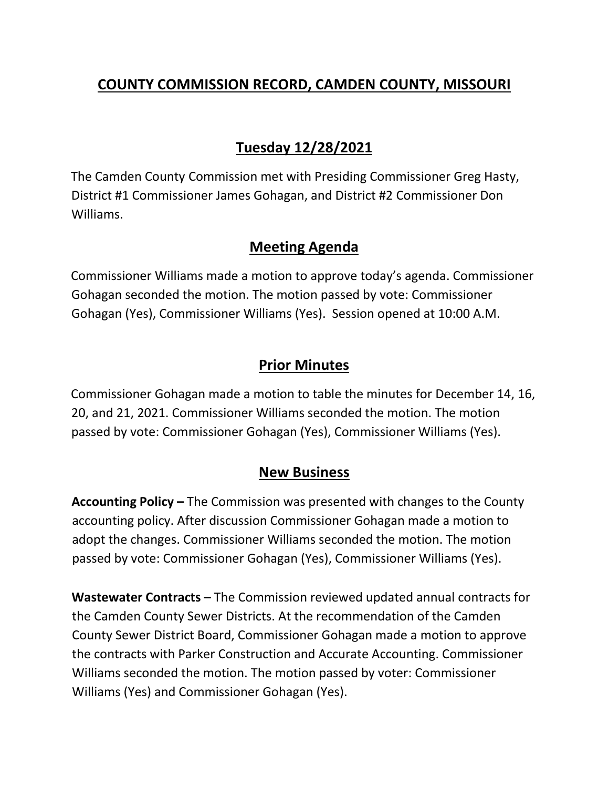# **COUNTY COMMISSION RECORD, CAMDEN COUNTY, MISSOURI**

# **Tuesday 12/28/2021**

The Camden County Commission met with Presiding Commissioner Greg Hasty, District #1 Commissioner James Gohagan, and District #2 Commissioner Don Williams.

## **Meeting Agenda**

Commissioner Williams made a motion to approve today's agenda. Commissioner Gohagan seconded the motion. The motion passed by vote: Commissioner Gohagan (Yes), Commissioner Williams (Yes). Session opened at 10:00 A.M.

## **Prior Minutes**

Commissioner Gohagan made a motion to table the minutes for December 14, 16, 20, and 21, 2021. Commissioner Williams seconded the motion. The motion passed by vote: Commissioner Gohagan (Yes), Commissioner Williams (Yes).

## **New Business**

**Accounting Policy –** The Commission was presented with changes to the County accounting policy. After discussion Commissioner Gohagan made a motion to adopt the changes. Commissioner Williams seconded the motion. The motion passed by vote: Commissioner Gohagan (Yes), Commissioner Williams (Yes).

**Wastewater Contracts –** The Commission reviewed updated annual contracts for the Camden County Sewer Districts. At the recommendation of the Camden County Sewer District Board, Commissioner Gohagan made a motion to approve the contracts with Parker Construction and Accurate Accounting. Commissioner Williams seconded the motion. The motion passed by voter: Commissioner Williams (Yes) and Commissioner Gohagan (Yes).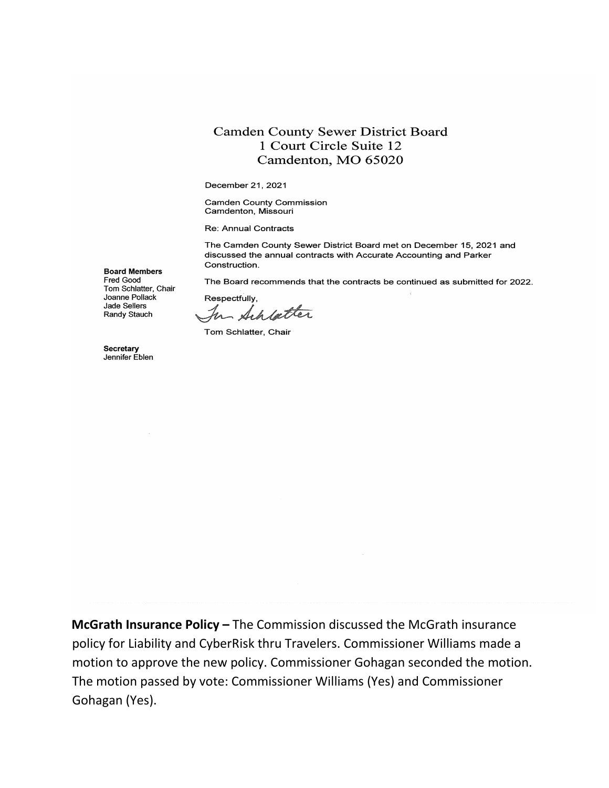#### **Camden County Sewer District Board** 1 Court Circle Suite 12 Camdenton, MO 65020

December 21, 2021

**Camden County Commission** Camdenton, Missouri

Re: Annual Contracts

The Camden County Sewer District Board met on December 15, 2021 and discussed the annual contracts with Accurate Accounting and Parker Construction.

The Board recommends that the contracts be continued as submitted for 2022.

Respectfully. In Achbetter

Tom Schlatter, Chair

Secretary Jennifer Eblen

**Jade Sellers** 

Randy Stauch

**Board Members** Fred Good

Tom Schlatter, Chair Joanne Pollack

McGrath Insurance Policy - The Commission discussed the McGrath insurance policy for Liability and CyberRisk thru Travelers. Commissioner Williams made a motion to approve the new policy. Commissioner Gohagan seconded the motion. The motion passed by vote: Commissioner Williams (Yes) and Commissioner Gohagan (Yes).